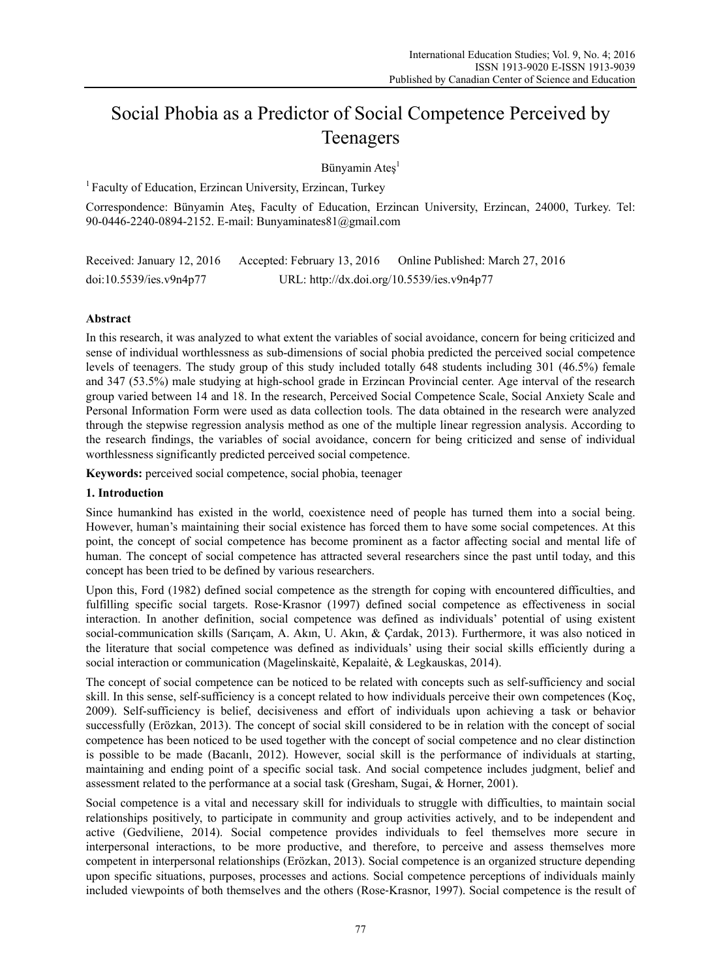# Social Phobia as a Predictor of Social Competence Perceived by Teenagers

Bünyamin Ateş<sup>1</sup>

<sup>1</sup> Faculty of Education, Erzincan University, Erzincan, Turkey

Correspondence: Bünyamin Ateş, Faculty of Education, Erzincan University, Erzincan, 24000, Turkey. Tel: 90-0446-2240-0894-2152. E-mail: Bunyaminates81@gmail.com

Received: January 12, 2016 Accepted: February 13, 2016 Online Published: March 27, 2016 doi:10.5539/ies.v9n4p77 URL: http://dx.doi.org/10.5539/ies.v9n4p77

# **Abstract**

In this research, it was analyzed to what extent the variables of social avoidance, concern for being criticized and sense of individual worthlessness as sub-dimensions of social phobia predicted the perceived social competence levels of teenagers. The study group of this study included totally 648 students including 301 (46.5%) female and 347 (53.5%) male studying at high-school grade in Erzincan Provincial center. Age interval of the research group varied between 14 and 18. In the research, Perceived Social Competence Scale, Social Anxiety Scale and Personal Information Form were used as data collection tools. The data obtained in the research were analyzed through the stepwise regression analysis method as one of the multiple linear regression analysis. According to the research findings, the variables of social avoidance, concern for being criticized and sense of individual worthlessness significantly predicted perceived social competence.

**Keywords:** perceived social competence, social phobia, teenager

#### **1. Introduction**

Since humankind has existed in the world, coexistence need of people has turned them into a social being. However, human's maintaining their social existence has forced them to have some social competences. At this point, the concept of social competence has become prominent as a factor affecting social and mental life of human. The concept of social competence has attracted several researchers since the past until today, and this concept has been tried to be defined by various researchers.

Upon this, Ford (1982) defined social competence as the strength for coping with encountered difficulties, and fulfilling specific social targets. Rose‐Krasnor (1997) defined social competence as effectiveness in social interaction. In another definition, social competence was defined as individuals' potential of using existent social-communication skills (Sarıçam, A. Akın, U. Akın, & Çardak, 2013). Furthermore, it was also noticed in the literature that social competence was defined as individuals' using their social skills efficiently during a social interaction or communication (Magelinskaitė, Kepalaitė, & Legkauskas, 2014).

The concept of social competence can be noticed to be related with concepts such as self-sufficiency and social skill. In this sense, self-sufficiency is a concept related to how individuals perceive their own competences (Koç, 2009). Self-sufficiency is belief, decisiveness and effort of individuals upon achieving a task or behavior successfully (Erözkan, 2013). The concept of social skill considered to be in relation with the concept of social competence has been noticed to be used together with the concept of social competence and no clear distinction is possible to be made (Bacanlı, 2012). However, social skill is the performance of individuals at starting, maintaining and ending point of a specific social task. And social competence includes judgment, belief and assessment related to the performance at a social task (Gresham, Sugai, & Horner, 2001).

Social competence is a vital and necessary skill for individuals to struggle with difficulties, to maintain social relationships positively, to participate in community and group activities actively, and to be independent and active (Gedviliene, 2014). Social competence provides individuals to feel themselves more secure in interpersonal interactions, to be more productive, and therefore, to perceive and assess themselves more competent in interpersonal relationships (Erözkan, 2013). Social competence is an organized structure depending upon specific situations, purposes, processes and actions. Social competence perceptions of individuals mainly included viewpoints of both themselves and the others (Rose‐Krasnor, 1997). Social competence is the result of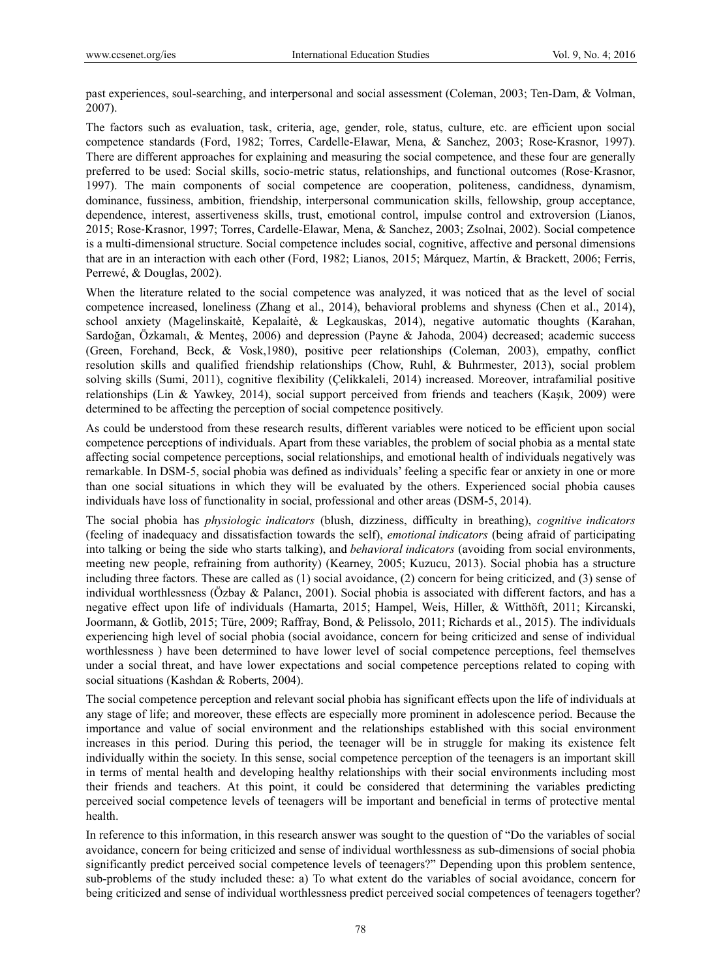past experiences, soul-searching, and interpersonal and social assessment (Coleman, 2003; Ten-Dam, & Volman, 2007).

The factors such as evaluation, task, criteria, age, gender, role, status, culture, etc. are efficient upon social competence standards (Ford, 1982; Torres, Cardelle-Elawar, Mena, & Sanchez, 2003; Rose‐Krasnor, 1997). There are different approaches for explaining and measuring the social competence, and these four are generally preferred to be used: Social skills, socio-metric status, relationships, and functional outcomes (Rose‐Krasnor, 1997). The main components of social competence are cooperation, politeness, candidness, dynamism, dominance, fussiness, ambition, friendship, interpersonal communication skills, fellowship, group acceptance, dependence, interest, assertiveness skills, trust, emotional control, impulse control and extroversion (Lianos, 2015; Rose‐Krasnor, 1997; Torres, Cardelle-Elawar, Mena, & Sanchez, 2003; Zsolnai, 2002). Social competence is a multi-dimensional structure. Social competence includes social, cognitive, affective and personal dimensions that are in an interaction with each other (Ford, 1982; Lianos, 2015; Márquez, Martín, & Brackett, 2006; Ferris, Perrewé, & Douglas, 2002).

When the literature related to the social competence was analyzed, it was noticed that as the level of social competence increased, loneliness (Zhang et al., 2014), behavioral problems and shyness (Chen et al., 2014), school anxiety (Magelinskaitė, Kepalaitė, & Legkauskas, 2014), negative automatic thoughts (Karahan, Sardoğan, Özkamalı, & Menteş, 2006) and depression (Payne & Jahoda, 2004) decreased; academic success (Green, Forehand, Beck, & Vosk,1980), positive peer relationships (Coleman, 2003), empathy, conflict resolution skills and qualified friendship relationships (Chow, Ruhl, & Buhrmester, 2013), social problem solving skills (Sumi, 2011), cognitive flexibility (Çelikkaleli, 2014) increased. Moreover, intrafamilial positive relationships (Lin & Yawkey, 2014), social support perceived from friends and teachers (Kaşık, 2009) were determined to be affecting the perception of social competence positively.

As could be understood from these research results, different variables were noticed to be efficient upon social competence perceptions of individuals. Apart from these variables, the problem of social phobia as a mental state affecting social competence perceptions, social relationships, and emotional health of individuals negatively was remarkable. In DSM-5, social phobia was defined as individuals' feeling a specific fear or anxiety in one or more than one social situations in which they will be evaluated by the others. Experienced social phobia causes individuals have loss of functionality in social, professional and other areas (DSM-5, 2014).

The social phobia has *physiologic indicators* (blush, dizziness, difficulty in breathing), *cognitive indicators*  (feeling of inadequacy and dissatisfaction towards the self), *emotional indicators* (being afraid of participating into talking or being the side who starts talking), and *behavioral indicators* (avoiding from social environments, meeting new people, refraining from authority) (Kearney, 2005; Kuzucu, 2013). Social phobia has a structure including three factors. These are called as (1) social avoidance, (2) concern for being criticized, and (3) sense of individual worthlessness (Özbay & Palancı, 2001). Social phobia is associated with different factors, and has a negative effect upon life of individuals (Hamarta, 2015; Hampel, Weis, Hiller, & Witthöft, 2011; Kircanski, Joormann, & Gotlib, 2015; Türe, 2009; Raffray, Bond, & Pelissolo, 2011; Richards et al., 2015). The individuals experiencing high level of social phobia (social avoidance, concern for being criticized and sense of individual worthlessness ) have been determined to have lower level of social competence perceptions, feel themselves under a social threat, and have lower expectations and social competence perceptions related to coping with social situations (Kashdan & Roberts, 2004).

The social competence perception and relevant social phobia has significant effects upon the life of individuals at any stage of life; and moreover, these effects are especially more prominent in adolescence period. Because the importance and value of social environment and the relationships established with this social environment increases in this period. During this period, the teenager will be in struggle for making its existence felt individually within the society. In this sense, social competence perception of the teenagers is an important skill in terms of mental health and developing healthy relationships with their social environments including most their friends and teachers. At this point, it could be considered that determining the variables predicting perceived social competence levels of teenagers will be important and beneficial in terms of protective mental health.

In reference to this information, in this research answer was sought to the question of "Do the variables of social avoidance, concern for being criticized and sense of individual worthlessness as sub-dimensions of social phobia significantly predict perceived social competence levels of teenagers?" Depending upon this problem sentence, sub-problems of the study included these: a) To what extent do the variables of social avoidance, concern for being criticized and sense of individual worthlessness predict perceived social competences of teenagers together?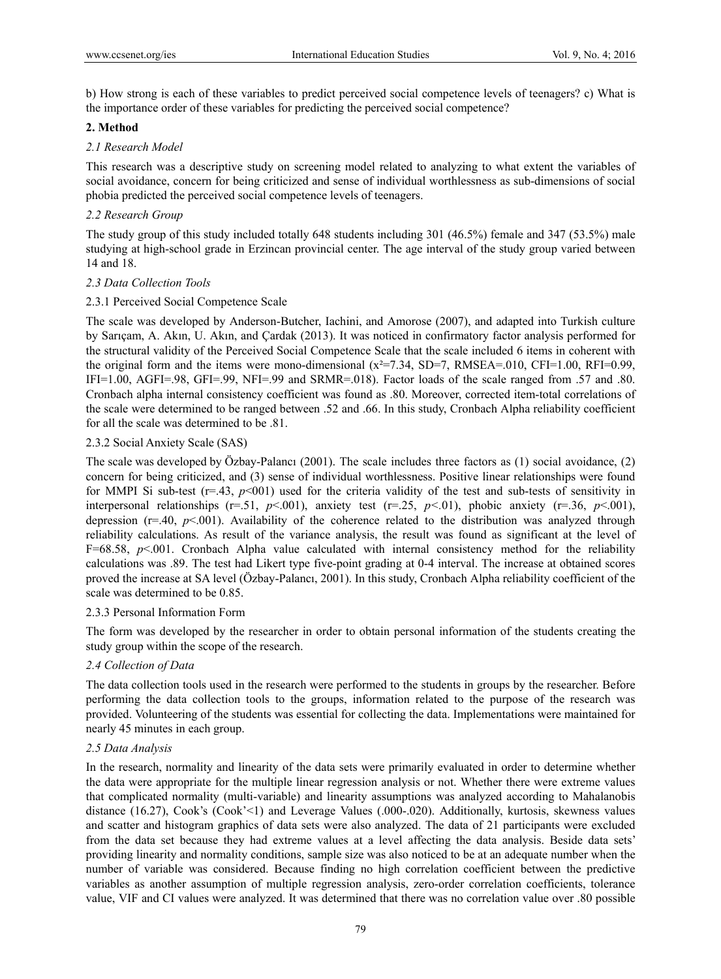b) How strong is each of these variables to predict perceived social competence levels of teenagers? c) What is the importance order of these variables for predicting the perceived social competence?

#### **2. Method**

#### *2.1 Research Model*

This research was a descriptive study on screening model related to analyzing to what extent the variables of social avoidance, concern for being criticized and sense of individual worthlessness as sub-dimensions of social phobia predicted the perceived social competence levels of teenagers.

# *2.2 Research Group*

The study group of this study included totally 648 students including 301 (46.5%) female and 347 (53.5%) male studying at high-school grade in Erzincan provincial center. The age interval of the study group varied between 14 and 18.

## *2.3 Data Collection Tools*

## 2.3.1 Perceived Social Competence Scale

The scale was developed by Anderson-Butcher, Iachini, and Amorose (2007), and adapted into Turkish culture by Sarıçam, A. Akın, U. Akın, and Çardak (2013). It was noticed in confirmatory factor analysis performed for the structural validity of the Perceived Social Competence Scale that the scale included 6 items in coherent with the original form and the items were mono-dimensional  $(x^2=7.34, SD=7, RMSEA=0.010, CFI=1.00, RFI=0.99$ , IFI=1.00, AGFI=.98, GFI=.99, NFI=.99 and SRMR=.018). Factor loads of the scale ranged from .57 and .80. Cronbach alpha internal consistency coefficient was found as .80. Moreover, corrected item-total correlations of the scale were determined to be ranged between .52 and .66. In this study, Cronbach Alpha reliability coefficient for all the scale was determined to be .81.

## 2.3.2 Social Anxiety Scale (SAS)

The scale was developed by Özbay-Palancı (2001). The scale includes three factors as (1) social avoidance, (2) concern for being criticized, and (3) sense of individual worthlessness. Positive linear relationships were found for MMPI Si sub-test  $(r=.43, p<001)$  used for the criteria validity of the test and sub-tests of sensitivity in interpersonal relationships ( $r=51$ ,  $p<001$ ), anxiety test ( $r=25$ ,  $p<01$ ), phobic anxiety ( $r=36$ ,  $p<001$ ), depression ( $r=40$ ,  $p<001$ ). Availability of the coherence related to the distribution was analyzed through reliability calculations. As result of the variance analysis, the result was found as significant at the level of  $F=68.58$ ,  $p<.001$ . Cronbach Alpha value calculated with internal consistency method for the reliability calculations was .89. The test had Likert type five-point grading at 0-4 interval. The increase at obtained scores proved the increase at SA level (Özbay-Palancı, 2001). In this study, Cronbach Alpha reliability coefficient of the scale was determined to be 0.85.

#### 2.3.3 Personal Information Form

The form was developed by the researcher in order to obtain personal information of the students creating the study group within the scope of the research.

#### *2.4 Collection of Data*

The data collection tools used in the research were performed to the students in groups by the researcher. Before performing the data collection tools to the groups, information related to the purpose of the research was provided. Volunteering of the students was essential for collecting the data. Implementations were maintained for nearly 45 minutes in each group.

# *2.5 Data Analysis*

In the research, normality and linearity of the data sets were primarily evaluated in order to determine whether the data were appropriate for the multiple linear regression analysis or not. Whether there were extreme values that complicated normality (multi-variable) and linearity assumptions was analyzed according to Mahalanobis distance (16.27), Cook's (Cook'<1) and Leverage Values (.000-.020). Additionally, kurtosis, skewness values and scatter and histogram graphics of data sets were also analyzed. The data of 21 participants were excluded from the data set because they had extreme values at a level affecting the data analysis. Beside data sets' providing linearity and normality conditions, sample size was also noticed to be at an adequate number when the number of variable was considered. Because finding no high correlation coefficient between the predictive variables as another assumption of multiple regression analysis, zero-order correlation coefficients, tolerance value, VIF and CI values were analyzed. It was determined that there was no correlation value over .80 possible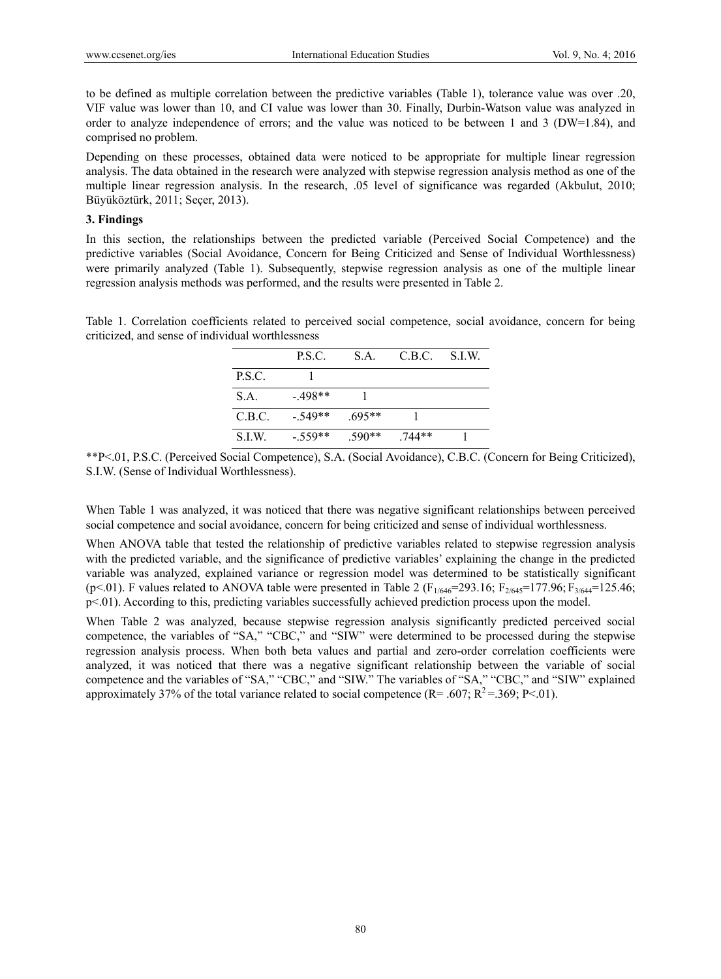to be defined as multiple correlation between the predictive variables (Table 1), tolerance value was over .20, VIF value was lower than 10, and CI value was lower than 30. Finally, Durbin-Watson value was analyzed in order to analyze independence of errors; and the value was noticed to be between 1 and 3 (DW=1.84), and comprised no problem.

Depending on these processes, obtained data were noticed to be appropriate for multiple linear regression analysis. The data obtained in the research were analyzed with stepwise regression analysis method as one of the multiple linear regression analysis. In the research, .05 level of significance was regarded (Akbulut, 2010; Büyüköztürk, 2011; Seçer, 2013).

#### **3. Findings**

In this section, the relationships between the predicted variable (Perceived Social Competence) and the predictive variables (Social Avoidance, Concern for Being Criticized and Sense of Individual Worthlessness) were primarily analyzed (Table 1). Subsequently, stepwise regression analysis as one of the multiple linear regression analysis methods was performed, and the results were presented in Table 2.

Table 1. Correlation coefficients related to perceived social competence, social avoidance, concern for being criticized, and sense of individual worthlessness

|        | P.S.C.    | S.A.     | C.B.C. | S.LW. |
|--------|-----------|----------|--------|-------|
| P.S.C. |           |          |        |       |
| S.A.   | $-498**$  |          |        |       |
| C.B.C. | $-.549**$ | $.695**$ |        |       |
| S.I.W. | $-.559**$ | $.590**$ | 744**  |       |

\*\*P<.01, P.S.C. (Perceived Social Competence), S.A. (Social Avoidance), C.B.C. (Concern for Being Criticized), S.I.W. (Sense of Individual Worthlessness).

When Table 1 was analyzed, it was noticed that there was negative significant relationships between perceived social competence and social avoidance, concern for being criticized and sense of individual worthlessness.

When ANOVA table that tested the relationship of predictive variables related to stepwise regression analysis with the predicted variable, and the significance of predictive variables' explaining the change in the predicted variable was analyzed, explained variance or regression model was determined to be statistically significant (p<.01). F values related to ANOVA table were presented in Table 2 ( $F_{1/646}$ =293.16;  $F_{2/645}$ =177.96;  $F_{3/644}$ =125.46; p<.01). According to this, predicting variables successfully achieved prediction process upon the model.

When Table 2 was analyzed, because stepwise regression analysis significantly predicted perceived social competence, the variables of "SA," "CBC," and "SIW" were determined to be processed during the stepwise regression analysis process. When both beta values and partial and zero-order correlation coefficients were analyzed, it was noticed that there was a negative significant relationship between the variable of social competence and the variables of "SA," "CBC," and "SIW." The variables of "SA," "CBC," and "SIW" explained approximately 37% of the total variance related to social competence (R= .607; R<sup>2</sup>=.369; P<.01).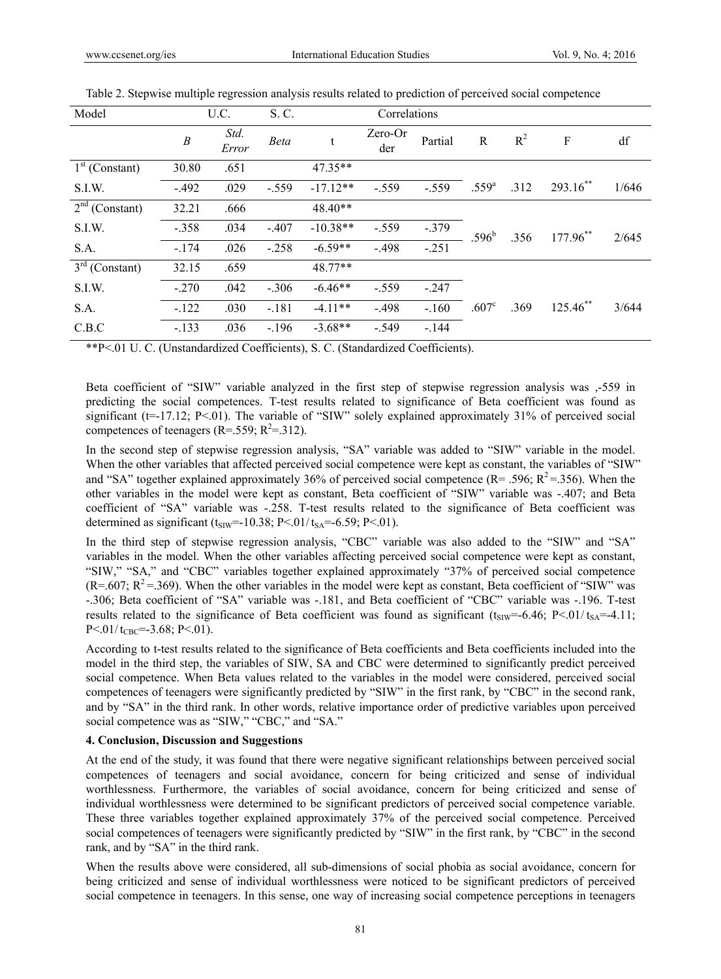| Model            |                  | U.C.<br>S. C. |             |            | Correlations   |         |                   |       |             |       |
|------------------|------------------|---------------|-------------|------------|----------------|---------|-------------------|-------|-------------|-------|
|                  | $\boldsymbol{B}$ | Std.<br>Error | <b>Beta</b> |            | Zero-Or<br>der | Partial | R                 | $R^2$ | F           | df    |
| $1st$ (Constant) | 30.80            | .651          |             | $47.35**$  |                |         |                   |       |             |       |
| S.I.W.           | $-.492$          | .029          | $-.559$     | $-17.12**$ | $-.559$        | $-.559$ | $.559^{a}$        | .312  | $293.16$ ** | 1/646 |
| $2nd$ (Constant) | 32.21            | .666          |             | $48.40**$  |                |         |                   |       |             |       |
| S.I.W.           | $-.358$          | .034          | $-.407$     | $-10.38**$ | $-.559$        | $-.379$ | $.596^{\rm b}$    | .356  | 177.96**    | 2/645 |
| S.A.             | $-.174$          | .026          | $-.258$     | $-6.59**$  | $-.498$        | $-.251$ |                   |       |             |       |
| $3rd$ (Constant) | 32.15            | .659          |             | 48.77**    |                |         |                   |       |             |       |
| S.I.W.           | $-.270$          | .042          | $-.306$     | $-6.46**$  | $-.559$        | $-.247$ |                   |       |             |       |
| S.A.             | $-122$           | .030          | $-.181$     | $-4.11**$  | $-.498$        | $-.160$ | .607 <sup>c</sup> | .369  | $125.46$ ** | 3/644 |
| C.B.C            | $-.133$          | .036          | $-196$      | $-3.68**$  | $-549$         | $-.144$ |                   |       |             |       |

Table 2. Stepwise multiple regression analysis results related to prediction of perceived social competence

\*\*P<.01 U. C. (Unstandardized Coefficients), S. C. (Standardized Coefficients).

Beta coefficient of "SIW" variable analyzed in the first step of stepwise regression analysis was ,-559 in predicting the social competences. T-test results related to significance of Beta coefficient was found as significant (t=-17.12; P<.01). The variable of "SIW" solely explained approximately 31% of perceived social competences of teenagers ( $R = 0.559$ ;  $R^2 = 0.312$ ).

In the second step of stepwise regression analysis, "SA" variable was added to "SIW" variable in the model. When the other variables that affected perceived social competence were kept as constant, the variables of "SIW" and "SA" together explained approximately 36% of perceived social competence (R= .596; R<sup>2</sup>=.356). When the other variables in the model were kept as constant, Beta coefficient of "SIW" variable was -.407; and Beta coefficient of "SA" variable was -.258. T-test results related to the significance of Beta coefficient was determined as significant ( $t_{\text{SIW}}$ =-10.38; P<.01/ $t_{SA}$ =-6.59; P<.01).

In the third step of stepwise regression analysis, "CBC" variable was also added to the "SIW" and "SA" variables in the model. When the other variables affecting perceived social competence were kept as constant, "SIW," "SA," and "CBC" variables together explained approximately "37% of perceived social competence  $(R=.607; R^2=.369)$ . When the other variables in the model were kept as constant, Beta coefficient of "SIW" was -.306; Beta coefficient of "SA" variable was -.181, and Beta coefficient of "CBC" variable was -.196. T-test results related to the significance of Beta coefficient was found as significant ( $t_{\text{SIW}}$ =-6.46; P<.01/ $t_{SA}$ =-4.11;  $P < 01/t_{CBC} = -3.68$ ;  $P < 01$ ).

According to t-test results related to the significance of Beta coefficients and Beta coefficients included into the model in the third step, the variables of SIW, SA and CBC were determined to significantly predict perceived social competence. When Beta values related to the variables in the model were considered, perceived social competences of teenagers were significantly predicted by "SIW" in the first rank, by "CBC" in the second rank, and by "SA" in the third rank. In other words, relative importance order of predictive variables upon perceived social competence was as "SIW," "CBC," and "SA."

#### **4. Conclusion, Discussion and Suggestions**

At the end of the study, it was found that there were negative significant relationships between perceived social competences of teenagers and social avoidance, concern for being criticized and sense of individual worthlessness. Furthermore, the variables of social avoidance, concern for being criticized and sense of individual worthlessness were determined to be significant predictors of perceived social competence variable. These three variables together explained approximately 37% of the perceived social competence. Perceived social competences of teenagers were significantly predicted by "SIW" in the first rank, by "CBC" in the second rank, and by "SA" in the third rank.

When the results above were considered, all sub-dimensions of social phobia as social avoidance, concern for being criticized and sense of individual worthlessness were noticed to be significant predictors of perceived social competence in teenagers. In this sense, one way of increasing social competence perceptions in teenagers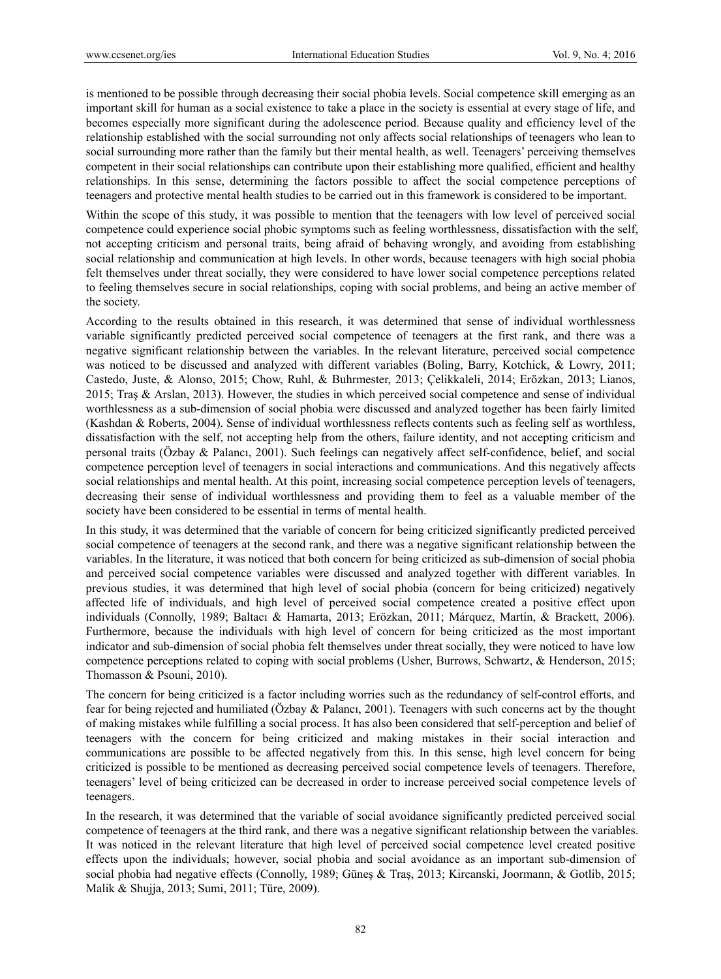is mentioned to be possible through decreasing their social phobia levels. Social competence skill emerging as an important skill for human as a social existence to take a place in the society is essential at every stage of life, and becomes especially more significant during the adolescence period. Because quality and efficiency level of the relationship established with the social surrounding not only affects social relationships of teenagers who lean to social surrounding more rather than the family but their mental health, as well. Teenagers' perceiving themselves competent in their social relationships can contribute upon their establishing more qualified, efficient and healthy relationships. In this sense, determining the factors possible to affect the social competence perceptions of teenagers and protective mental health studies to be carried out in this framework is considered to be important.

Within the scope of this study, it was possible to mention that the teenagers with low level of perceived social competence could experience social phobic symptoms such as feeling worthlessness, dissatisfaction with the self, not accepting criticism and personal traits, being afraid of behaving wrongly, and avoiding from establishing social relationship and communication at high levels. In other words, because teenagers with high social phobia felt themselves under threat socially, they were considered to have lower social competence perceptions related to feeling themselves secure in social relationships, coping with social problems, and being an active member of the society.

According to the results obtained in this research, it was determined that sense of individual worthlessness variable significantly predicted perceived social competence of teenagers at the first rank, and there was a negative significant relationship between the variables. In the relevant literature, perceived social competence was noticed to be discussed and analyzed with different variables (Boling, Barry, Kotchick, & Lowry, 2011; Castedo, Juste, & Alonso, 2015; Chow, Ruhl, & Buhrmester, 2013; Çelikkaleli, 2014; Erözkan, 2013; Lianos, 2015; Traş & Arslan, 2013). However, the studies in which perceived social competence and sense of individual worthlessness as a sub-dimension of social phobia were discussed and analyzed together has been fairly limited (Kashdan & Roberts, 2004). Sense of individual worthlessness reflects contents such as feeling self as worthless, dissatisfaction with the self, not accepting help from the others, failure identity, and not accepting criticism and personal traits (Özbay & Palancı, 2001). Such feelings can negatively affect self-confidence, belief, and social competence perception level of teenagers in social interactions and communications. And this negatively affects social relationships and mental health. At this point, increasing social competence perception levels of teenagers, decreasing their sense of individual worthlessness and providing them to feel as a valuable member of the society have been considered to be essential in terms of mental health.

In this study, it was determined that the variable of concern for being criticized significantly predicted perceived social competence of teenagers at the second rank, and there was a negative significant relationship between the variables. In the literature, it was noticed that both concern for being criticized as sub-dimension of social phobia and perceived social competence variables were discussed and analyzed together with different variables. In previous studies, it was determined that high level of social phobia (concern for being criticized) negatively affected life of individuals, and high level of perceived social competence created a positive effect upon individuals (Connolly, 1989; Baltacı & Hamarta, 2013; Erözkan, 2011; Márquez, Martín, & Brackett, 2006). Furthermore, because the individuals with high level of concern for being criticized as the most important indicator and sub-dimension of social phobia felt themselves under threat socially, they were noticed to have low competence perceptions related to coping with social problems (Usher, Burrows, Schwartz, & Henderson, 2015; Thomasson & Psouni, 2010).

The concern for being criticized is a factor including worries such as the redundancy of self-control efforts, and fear for being rejected and humiliated (Özbay & Palancı, 2001). Teenagers with such concerns act by the thought of making mistakes while fulfilling a social process. It has also been considered that self-perception and belief of teenagers with the concern for being criticized and making mistakes in their social interaction and communications are possible to be affected negatively from this. In this sense, high level concern for being criticized is possible to be mentioned as decreasing perceived social competence levels of teenagers. Therefore, teenagers' level of being criticized can be decreased in order to increase perceived social competence levels of teenagers.

In the research, it was determined that the variable of social avoidance significantly predicted perceived social competence of teenagers at the third rank, and there was a negative significant relationship between the variables. It was noticed in the relevant literature that high level of perceived social competence level created positive effects upon the individuals; however, social phobia and social avoidance as an important sub-dimension of social phobia had negative effects (Connolly, 1989; Güneş & Traş, 2013; Kircanski, Joormann, & Gotlib, 2015; Malik & Shujja, 2013; Sumi, 2011; Türe, 2009).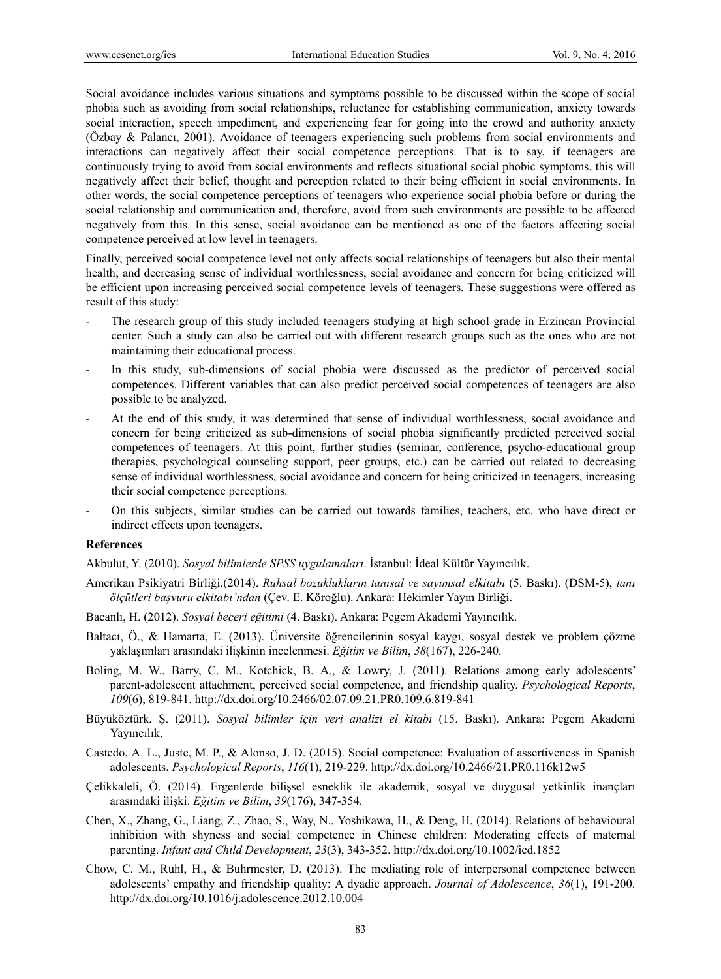Social avoidance includes various situations and symptoms possible to be discussed within the scope of social phobia such as avoiding from social relationships, reluctance for establishing communication, anxiety towards social interaction, speech impediment, and experiencing fear for going into the crowd and authority anxiety (Özbay & Palancı, 2001). Avoidance of teenagers experiencing such problems from social environments and interactions can negatively affect their social competence perceptions. That is to say, if teenagers are continuously trying to avoid from social environments and reflects situational social phobic symptoms, this will negatively affect their belief, thought and perception related to their being efficient in social environments. In other words, the social competence perceptions of teenagers who experience social phobia before or during the social relationship and communication and, therefore, avoid from such environments are possible to be affected negatively from this. In this sense, social avoidance can be mentioned as one of the factors affecting social competence perceived at low level in teenagers.

Finally, perceived social competence level not only affects social relationships of teenagers but also their mental health; and decreasing sense of individual worthlessness, social avoidance and concern for being criticized will be efficient upon increasing perceived social competence levels of teenagers. These suggestions were offered as result of this study:

- The research group of this study included teenagers studying at high school grade in Erzincan Provincial center. Such a study can also be carried out with different research groups such as the ones who are not maintaining their educational process.
- In this study, sub-dimensions of social phobia were discussed as the predictor of perceived social competences. Different variables that can also predict perceived social competences of teenagers are also possible to be analyzed.
- At the end of this study, it was determined that sense of individual worthlessness, social avoidance and concern for being criticized as sub-dimensions of social phobia significantly predicted perceived social competences of teenagers. At this point, further studies (seminar, conference, psycho-educational group therapies, psychological counseling support, peer groups, etc.) can be carried out related to decreasing sense of individual worthlessness, social avoidance and concern for being criticized in teenagers, increasing their social competence perceptions.
- On this subjects, similar studies can be carried out towards families, teachers, etc. who have direct or indirect effects upon teenagers.

#### **References**

Akbulut, Y. (2010). *Sosyal bilimlerde SPSS uygulamaları*. İstanbul: İdeal Kültür Yayıncılık.

- Amerikan Psikiyatri Birliği.(2014). *Ruhsal bozuklukların tanısal ve sayımsal elkitabı* (5. Baskı). (DSM-5), *tanı ölçütleri başvuru elkitabı'ndan* (Çev. E. Köroğlu). Ankara: Hekimler Yayın Birliği.
- Bacanlı, H. (2012). *Sosyal beceri eğitimi* (4. Baskı). Ankara: Pegem Akademi Yayıncılık.
- Baltacı, Ö., & Hamarta, E. (2013). Üniversite öğrencilerinin sosyal kaygı, sosyal destek ve problem çözme yaklaşımları arasındaki ilişkinin incelenmesi. *Eğitim ve Bilim*, *38*(167), 226-240.
- Boling, M. W., Barry, C. M., Kotchick, B. A., & Lowry, J. (2011). Relations among early adolescents' parent-adolescent attachment, perceived social competence, and friendship quality. *Psychological Reports*, *109*(6), 819-841. http://dx.doi.org/10.2466/02.07.09.21.PR0.109.6.819-841
- Büyüköztürk, Ş. (2011). *Sosyal bilimler için veri analizi el kitabı* (15. Baskı). Ankara: Pegem Akademi Yayıncılık.
- Castedo, A. L., Juste, M. P., & Alonso, J. D. (2015). Social competence: Evaluation of assertiveness in Spanish adolescents. *Psychological Reports*, *116*(1), 219-229. http://dx.doi.org/10.2466/21.PR0.116k12w5
- Çelikkaleli, Ö. (2014). Ergenlerde bilişsel esneklik ile akademik, sosyal ve duygusal yetkinlik inançları arasındaki ilişki. *Eğitim ve Bilim*, *39*(176), 347-354.
- Chen, X., Zhang, G., Liang, Z., Zhao, S., Way, N., Yoshikawa, H., & Deng, H. (2014). Relations of behavioural inhibition with shyness and social competence in Chinese children: Moderating effects of maternal parenting. *Infant and Child Development*, *23*(3), 343-352. http://dx.doi.org/10.1002/icd.1852
- Chow, C. M., Ruhl, H., & Buhrmester, D. (2013). The mediating role of interpersonal competence between adolescents' empathy and friendship quality: A dyadic approach. *Journal of Adolescence*, *36*(1), 191-200. http://dx.doi.org/10.1016/j.adolescence.2012.10.004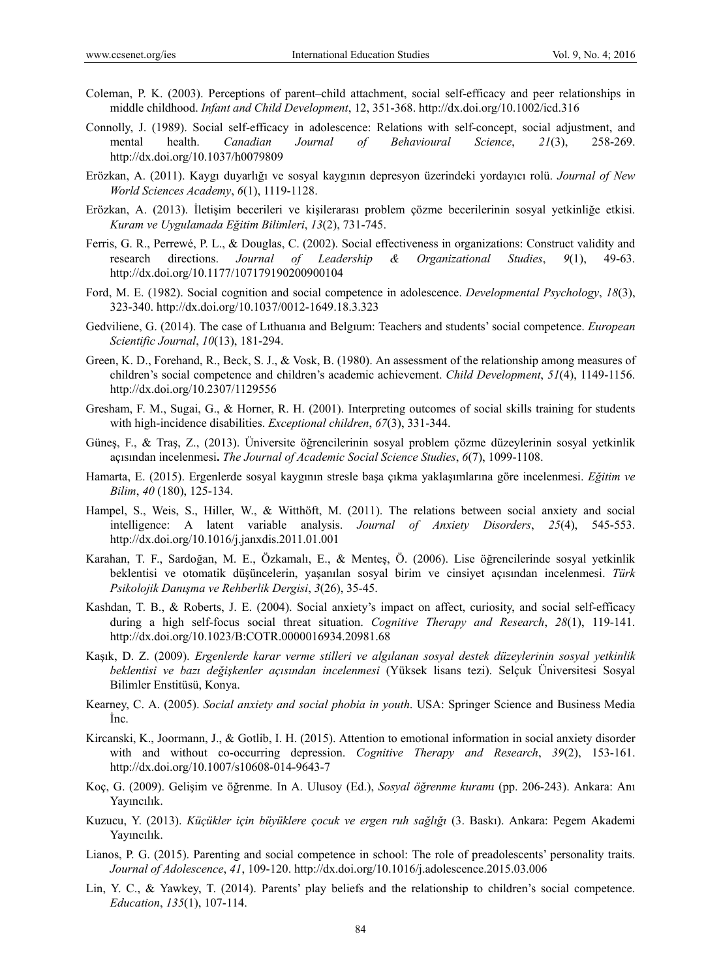- Coleman, P. K. (2003). Perceptions of parent–child attachment, social self-efficacy and peer relationships in middle childhood. *Infant and Child Development*, 12, 351-368. http://dx.doi.org/10.1002/icd.316
- Connolly, J. (1989). Social self-efficacy in adolescence: Relations with self-concept, social adjustment, and mental health. *Canadian Journal of Behavioural Science*, *21*(3), 258-269. http://dx.doi.org/10.1037/h0079809
- Erözkan, A. (2011). Kaygı duyarlığı ve sosyal kaygının depresyon üzerindeki yordayıcı rolü. *Journal of New World Sciences Academy*, *6*(1), 1119-1128.
- Erözkan, A. (2013). İletişim becerileri ve kişilerarası problem çözme becerilerinin sosyal yetkinliğe etkisi. *Kuram ve Uygulamada Eğitim Bilimleri*, *13*(2), 731-745.
- Ferris, G. R., Perrewé, P. L., & Douglas, C. (2002). Social effectiveness in organizations: Construct validity and research directions. *Journal of Leadership & Organizational Studies*, *9*(1), 49-63. http://dx.doi.org/10.1177/107179190200900104
- Ford, M. E. (1982). Social cognition and social competence in adolescence. *Developmental Psychology*, *18*(3), 323-340. http://dx.doi.org/10.1037/0012-1649.18.3.323
- Gedviliene, G. (2014). The case of Lıthuanıa and Belgıum: Teachers and students' social competence. *European Scientific Journal*, *10*(13), 181-294.
- Green, K. D., Forehand, R., Beck, S. J., & Vosk, B. (1980). An assessment of the relationship among measures of children's social competence and children's academic achievement. *Child Development*, *51*(4), 1149-1156. http://dx.doi.org/10.2307/1129556
- Gresham, F. M., Sugai, G., & Horner, R. H. (2001). Interpreting outcomes of social skills training for students with high-incidence disabilities. *Exceptional children*, *67*(3), 331-344.
- Güneş, F., & Traş, Z., (2013). Üniversite öğrencilerinin sosyal problem çözme düzeylerinin sosyal yetkinlik açısından incelenmesi**.** *The Journal of Academic Social Science Studies*, *6*(7), 1099-1108.
- Hamarta, E. (2015). Ergenlerde sosyal kaygının stresle başa çıkma yaklaşımlarına göre incelenmesi. *Eğitim ve Bilim*, *40* (180), 125-134.
- Hampel, S., Weis, S., Hiller, W., & Witthöft, M. (2011). The relations between social anxiety and social intelligence: A latent variable analysis. *Journal of Anxiety Disorders*, *25*(4), 545-553. http://dx.doi.org/10.1016/j.janxdis.2011.01.001
- Karahan, T. F., Sardoğan, M. E., Özkamalı, E., & Menteş, Ö. (2006). Lise öğrencilerinde sosyal yetkinlik beklentisi ve otomatik düşüncelerin, yaşanılan sosyal birim ve cinsiyet açısından incelenmesi. *Türk Psikolojik Danışma ve Rehberlik Dergisi*, *3*(26), 35-45.
- Kashdan, T. B., & Roberts, J. E. (2004). Social anxiety's impact on affect, curiosity, and social self-efficacy during a high self-focus social threat situation. *Cognitive Therapy and Research*, *28*(1), 119-141. http://dx.doi.org/10.1023/B:COTR.0000016934.20981.68
- Kaşık, D. Z. (2009). *Ergenlerde karar verme stilleri ve algılanan sosyal destek düzeylerinin sosyal yetkinlik beklentisi ve bazı değişkenler açısından incelenmesi* (Yüksek lisans tezi). Selçuk Üniversitesi Sosyal Bilimler Enstitüsü, Konya.
- Kearney, C. A. (2005). *Social anxiety and social phobia in youth*. USA: Springer Science and Business Media İnc.
- Kircanski, K., Joormann, J., & Gotlib, I. H. (2015). Attention to emotional information in social anxiety disorder with and without co-occurring depression. *Cognitive Therapy and Research*, *39*(2), 153-161. http://dx.doi.org/10.1007/s10608-014-9643-7
- Koç, G. (2009). Gelişim ve öğrenme. In A. Ulusoy (Ed.), *Sosyal öğrenme kuramı* (pp. 206-243). Ankara: Anı Yayıncılık.
- Kuzucu, Y. (2013). *Küçükler için büyüklere çocuk ve ergen ruh sağlığı* (3. Baskı). Ankara: Pegem Akademi Yayıncılık.
- Lianos, P. G. (2015). Parenting and social competence in school: The role of preadolescents' personality traits. *Journal of Adolescence*, *41*, 109-120. http://dx.doi.org/10.1016/j.adolescence.2015.03.006
- Lin, Y. C., & Yawkey, T. (2014). Parents' play beliefs and the relationship to children's social competence. *Education*, *135*(1), 107-114.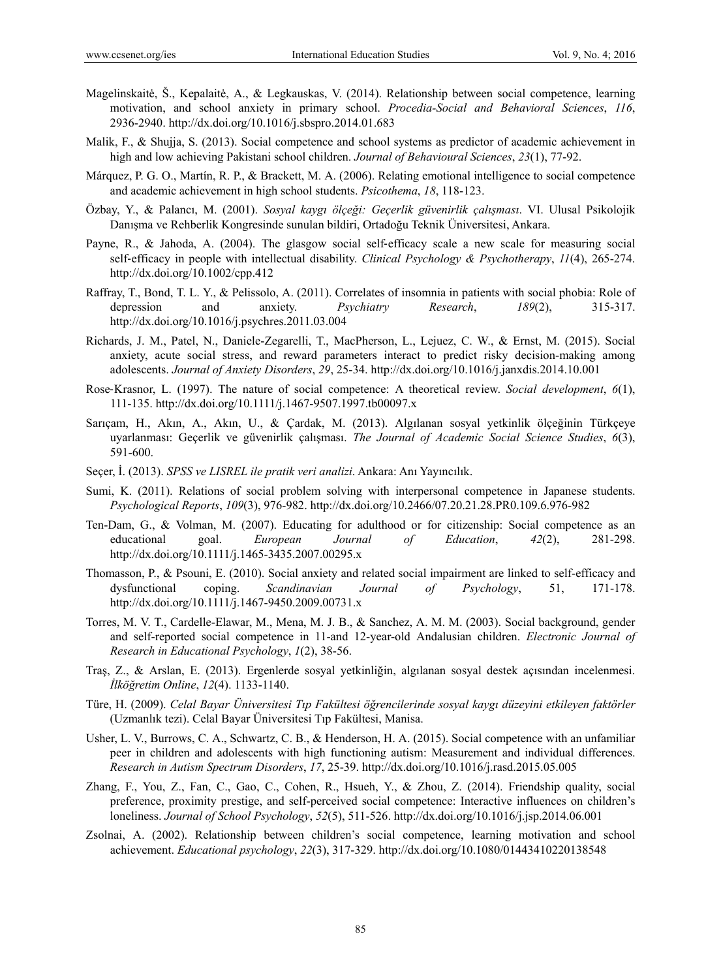- Magelinskaitė, Š., Kepalaitė, A., & Legkauskas, V. (2014). Relationship between social competence, learning motivation, and school anxiety in primary school. *Procedia-Social and Behavioral Sciences*, *116*, 2936-2940. http://dx.doi.org/10.1016/j.sbspro.2014.01.683
- Malik, F., & Shujja, S. (2013). Social competence and school systems as predictor of academic achievement in high and low achieving Pakistani school children. *Journal of Behavioural Sciences*, *23*(1), 77-92.
- Márquez, P. G. O., Martín, R. P., & Brackett, M. A. (2006). Relating emotional intelligence to social competence and academic achievement in high school students. *Psicothema*, *18*, 118-123.
- Özbay, Y., & Palancı, M. (2001). *Sosyal kaygı ölçeği: Geçerlik güvenirlik çalışması*. VI. Ulusal Psikolojik Danışma ve Rehberlik Kongresinde sunulan bildiri, Ortadoğu Teknik Üniversitesi, Ankara.
- Payne, R., & Jahoda, A. (2004). The glasgow social self-efficacy scale a new scale for measuring social self‐efficacy in people with intellectual disability. *Clinical Psychology & Psychotherapy*, *11*(4), 265-274. http://dx.doi.org/10.1002/cpp.412
- Raffray, T., Bond, T. L. Y., & Pelissolo, A. (2011). Correlates of insomnia in patients with social phobia: Role of depression and anxiety. *Psychiatry Research*, *189*(2), 315-317. http://dx.doi.org/10.1016/j.psychres.2011.03.004
- Richards, J. M., Patel, N., Daniele-Zegarelli, T., MacPherson, L., Lejuez, C. W., & Ernst, M. (2015). Social anxiety, acute social stress, and reward parameters interact to predict risky decision-making among adolescents. *Journal of Anxiety Disorders*, *29*, 25-34. http://dx.doi.org/10.1016/j.janxdis.2014.10.001
- Rose‐Krasnor, L. (1997). The nature of social competence: A theoretical review. *Social development*, *6*(1), 111-135. http://dx.doi.org/10.1111/j.1467-9507.1997.tb00097.x
- Sarıçam, H., Akın, A., Akın, U., & Çardak, M. (2013). Algılanan sosyal yetkinlik ölçeğinin Türkçeye uyarlanması: Geçerlik ve güvenirlik çalışması. *The Journal of Academic Social Science Studies*, *6*(3), 591-600.
- Seçer, İ. (2013). *SPSS ve LISREL ile pratik veri analizi*. Ankara: Anı Yayıncılık.
- Sumi, K. (2011). Relations of social problem solving with interpersonal competence in Japanese students. *Psychological Reports*, *109*(3), 976-982. http://dx.doi.org/10.2466/07.20.21.28.PR0.109.6.976-982
- Ten-Dam, G., & Volman, M. (2007). Educating for adulthood or for citizenship: Social competence as an educational goal. *European Journal of Education*, *42*(2), 281-298. http://dx.doi.org/10.1111/j.1465-3435.2007.00295.x
- Thomasson, P., & Psouni, E. (2010). Social anxiety and related social impairment are linked to self-efficacy and dysfunctional coping. *Scandinavian Journal of Psychology*, 51, 171-178. http://dx.doi.org/10.1111/j.1467-9450.2009.00731.x
- Torres, M. V. T., Cardelle-Elawar, M., Mena, M. J. B., & Sanchez, A. M. M. (2003). Social background, gender and self-reported social competence in 11-and 12-year-old Andalusian children. *Electronic Journal of Research in Educational Psychology*, *1*(2), 38-56.
- Traş, Z., & Arslan, E. (2013). Ergenlerde sosyal yetkinliğin, algılanan sosyal destek açısından incelenmesi. *İlköğretim Online*, *12*(4). 1133-1140.
- Türe, H. (2009). *Celal Bayar Üniversitesi Tıp Fakültesi öğrencilerinde sosyal kaygı düzeyini etkileyen faktörler* (Uzmanlık tezi). Celal Bayar Üniversitesi Tıp Fakültesi, Manisa.
- Usher, L. V., Burrows, C. A., Schwartz, C. B., & Henderson, H. A. (2015). Social competence with an unfamiliar peer in children and adolescents with high functioning autism: Measurement and individual differences. *Research in Autism Spectrum Disorders*, *17*, 25-39. http://dx.doi.org/10.1016/j.rasd.2015.05.005
- Zhang, F., You, Z., Fan, C., Gao, C., Cohen, R., Hsueh, Y., & Zhou, Z. (2014). Friendship quality, social preference, proximity prestige, and self-perceived social competence: Interactive influences on children's loneliness. *Journal of School Psychology*, *52*(5), 511-526. http://dx.doi.org/10.1016/j.jsp.2014.06.001
- Zsolnai, A. (2002). Relationship between children's social competence, learning motivation and school achievement. *Educational psychology*, *22*(3), 317-329. http://dx.doi.org/10.1080/01443410220138548